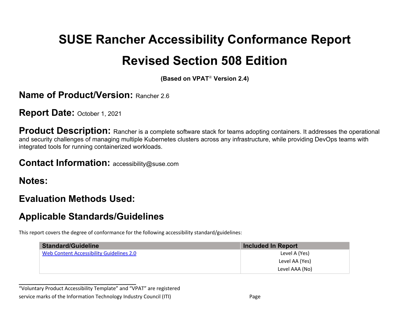# **SUSE Rancher Accessibility Conformance Report Revised Section 508 Edition**

**(Based on VPAT**® **Version 2.4)**

#### **Name of Product/Version: Rancher 2.6**

**Report Date:** October 1, 2021

**Product Description:** Rancher is a complete software stack for teams adopting containers. It addresses the operational and security challenges of managing multiple Kubernetes clusters across any infrastructure, while providing DevOps teams with integrated tools for running containerized workloads.

#### **Contact Information:** accessibility@suse.com

**Notes:**

#### **Evaluation Methods Used:**

**\_\_\_\_\_\_\_\_\_\_\_\_\_\_\_\_\_\_\_\_\_\_\_\_\_\_\_\_\_\_\_\_\_\_**

## **Applicable Standards/Guidelines**

This report covers the degree of conformance for the following accessibility standard/guidelines:

| <b>Standard/Guideline</b>                | <b>Included In Report</b> |
|------------------------------------------|---------------------------|
| Web Content Accessibility Guidelines 2.0 | Level A (Yes)             |
|                                          | Level AA (Yes)            |
|                                          | Level AAA (No)            |

"Voluntary Product Accessibility Template" and "VPAT" are registered service marks of the Information Technology Industry Council (ITI) example 20 and the Page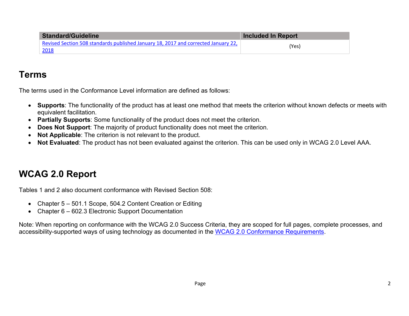| <b>Standard/Guideline</b>                                                                          | <b>Included In Report</b> |
|----------------------------------------------------------------------------------------------------|---------------------------|
| Revised Section 508 standards published January 18, 2017 and corrected January 22,<br><u> 2018</u> | (Yes)                     |

#### **Terms**

The terms used in the Conformance Level information are defined as follows:

- **Supports**: The functionality of the product has at least one method that meets the criterion without known defects or meets with equivalent facilitation.
- **Partially Supports**: Some functionality of the product does not meet the criterion.
- **Does Not Support**: The majority of product functionality does not meet the criterion.
- **Not Applicable**: The criterion is not relevant to the product.
- **Not Evaluated**: The product has not been evaluated against the criterion. This can be used only in WCAG 2.0 Level AAA.

# **WCAG 2.0 Report**

Tables 1 and 2 also document conformance with Revised Section 508:

- Chapter 5 501.1 Scope, 504.2 Content Creation or Editing
- Chapter 6 602.3 Electronic Support Documentation

Note: When reporting on conformance with the WCAG 2.0 Success Criteria, they are scoped for full pages, complete processes, and accessibility-supported ways of using technology as documented in the WCAG 2.0 Conformance Requirements.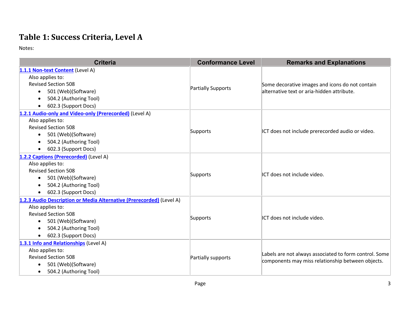### **Table 1: Success Criteria, Level A**

| <b>Criteria</b>                                                      | <b>Conformance Level</b> | <b>Remarks and Explanations</b>                                                                             |
|----------------------------------------------------------------------|--------------------------|-------------------------------------------------------------------------------------------------------------|
| 1.1.1 Non-text Content (Level A)                                     |                          |                                                                                                             |
| Also applies to:                                                     |                          |                                                                                                             |
| <b>Revised Section 508</b>                                           |                          | Some decorative images and icons do not contain                                                             |
| 501 (Web)(Software)<br>$\bullet$                                     | Partially Supports       | alternative text or aria-hidden attribute.                                                                  |
| 504.2 (Authoring Tool)<br>$\bullet$                                  |                          |                                                                                                             |
| 602.3 (Support Docs)<br>$\bullet$                                    |                          |                                                                                                             |
| 1.2.1 Audio-only and Video-only (Prerecorded) (Level A)              |                          |                                                                                                             |
| Also applies to:                                                     |                          |                                                                                                             |
| <b>Revised Section 508</b>                                           |                          |                                                                                                             |
| 501 (Web)(Software)<br>$\bullet$                                     | Supports                 | ICT does not include prerecorded audio or video.                                                            |
| 504.2 (Authoring Tool)<br>$\bullet$                                  |                          |                                                                                                             |
| 602.3 (Support Docs)<br>$\bullet$                                    |                          |                                                                                                             |
| 1.2.2 Captions (Prerecorded) (Level A)                               |                          |                                                                                                             |
| Also applies to:                                                     |                          | ICT does not include video.                                                                                 |
| <b>Revised Section 508</b>                                           |                          |                                                                                                             |
| 501 (Web)(Software)<br>$\bullet$                                     | Supports                 |                                                                                                             |
| 504.2 (Authoring Tool)                                               |                          |                                                                                                             |
| 602.3 (Support Docs)<br>$\bullet$                                    |                          |                                                                                                             |
| 1.2.3 Audio Description or Media Alternative (Prerecorded) (Level A) |                          |                                                                                                             |
| Also applies to:                                                     |                          | ICT does not include video.                                                                                 |
| <b>Revised Section 508</b>                                           | Supports                 |                                                                                                             |
| 501 (Web)(Software)<br>$\bullet$                                     |                          |                                                                                                             |
| 504.2 (Authoring Tool)                                               |                          |                                                                                                             |
| 602.3 (Support Docs)<br>$\bullet$                                    |                          |                                                                                                             |
| 1.3.1 Info and Relationships (Level A)                               |                          |                                                                                                             |
| Also applies to:                                                     |                          | Labels are not always associated to form control. Some<br>components may miss relationship between objects. |
| <b>Revised Section 508</b>                                           | Partially supports       |                                                                                                             |
| 501 (Web)(Software)                                                  |                          |                                                                                                             |
| 504.2 (Authoring Tool)<br>$\bullet$                                  |                          |                                                                                                             |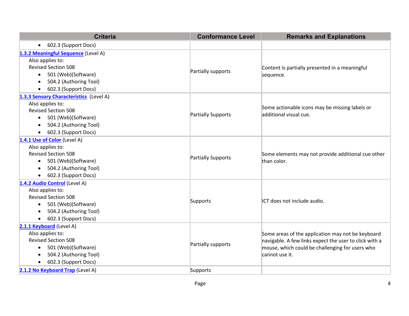| <b>Criteria</b>                                                                                                                                                                                           | <b>Conformance Level</b>  | <b>Remarks and Explanations</b>                                                                                                                                                  |
|-----------------------------------------------------------------------------------------------------------------------------------------------------------------------------------------------------------|---------------------------|----------------------------------------------------------------------------------------------------------------------------------------------------------------------------------|
| 602.3 (Support Docs)<br>$\bullet$                                                                                                                                                                         |                           |                                                                                                                                                                                  |
| 1.3.2 Meaningful Sequence (Level A)<br>Also applies to:<br><b>Revised Section 508</b><br>501 (Web)(Software)<br>$\bullet$<br>504.2 (Authoring Tool)<br>$\bullet$<br>602.3 (Support Docs)<br>$\bullet$     | Partially supports        | Content is partially presented in a meaningful<br>sequence.                                                                                                                      |
| 1.3.3 Sensory Characteristics (Level A)<br>Also applies to:<br><b>Revised Section 508</b><br>501 (Web)(Software)<br>$\bullet$<br>504.2 (Authoring Tool)<br>$\bullet$<br>602.3 (Support Docs)<br>$\bullet$ | <b>Partially Supports</b> | Some actionable icons may be missing labels or<br>additional visual cue.                                                                                                         |
| 1.4.1 Use of Color (Level A)<br>Also applies to:<br><b>Revised Section 508</b><br>501 (Web)(Software)<br>$\bullet$<br>504.2 (Authoring Tool)<br>$\bullet$<br>602.3 (Support Docs)<br>$\bullet$            | Partially Supports        | Some elements may not provide additional cue other<br>than color.                                                                                                                |
| 1.4.2 Audio Control (Level A)<br>Also applies to:<br><b>Revised Section 508</b><br>501 (Web)(Software)<br>$\bullet$<br>504.2 (Authoring Tool)<br>$\bullet$<br>602.3 (Support Docs)                        | Supports                  | ICT does not include audio.                                                                                                                                                      |
| 2.1.1 Keyboard (Level A)<br>Also applies to:<br><b>Revised Section 508</b><br>501 (Web)(Software)<br>$\bullet$<br>504.2 (Authoring Tool)<br>602.3 (Support Docs)<br>$\bullet$                             | Partially supports        | Some areas of the application may not be keyboard<br>navigable. A few links expect the user to click with a<br>mouse, which could be challenging for users who<br>cannot use it. |
| 2.1.2 No Keyboard Trap (Level A)                                                                                                                                                                          | Supports                  |                                                                                                                                                                                  |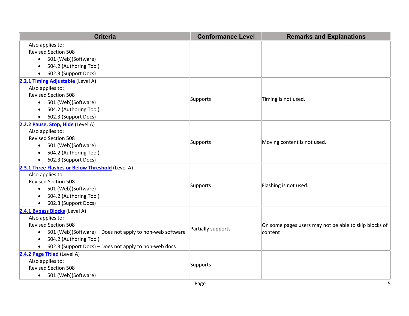| <b>Criteria</b>                                                       | <b>Conformance Level</b> | <b>Remarks and Explanations</b>                       |
|-----------------------------------------------------------------------|--------------------------|-------------------------------------------------------|
| Also applies to:                                                      |                          |                                                       |
| <b>Revised Section 508</b>                                            |                          |                                                       |
| 501 (Web)(Software)<br>$\bullet$                                      |                          |                                                       |
| 504.2 (Authoring Tool)<br>$\bullet$                                   |                          |                                                       |
| 602.3 (Support Docs)<br>$\bullet$                                     |                          |                                                       |
| 2.2.1 Timing Adjustable (Level A)                                     |                          |                                                       |
| Also applies to:                                                      |                          |                                                       |
| <b>Revised Section 508</b>                                            | Supports                 | Timing is not used.                                   |
| 501 (Web)(Software)<br>$\bullet$                                      |                          |                                                       |
| 504.2 (Authoring Tool)<br>$\bullet$                                   |                          |                                                       |
| 602.3 (Support Docs)<br>$\bullet$                                     |                          |                                                       |
| 2.2.2 Pause, Stop, Hide (Level A)                                     |                          |                                                       |
| Also applies to:                                                      |                          |                                                       |
| <b>Revised Section 508</b>                                            | Supports                 | Moving content is not used.                           |
| 501 (Web)(Software)<br>$\bullet$                                      |                          |                                                       |
| 504.2 (Authoring Tool)<br>$\bullet$                                   |                          |                                                       |
| 602.3 (Support Docs)<br>$\bullet$                                     |                          |                                                       |
| 2.3.1 Three Flashes or Below Threshold (Level A)                      |                          |                                                       |
| Also applies to:                                                      |                          |                                                       |
| <b>Revised Section 508</b>                                            | Supports                 | Flashing is not used.                                 |
| 501 (Web)(Software)<br>$\bullet$                                      |                          |                                                       |
| 504.2 (Authoring Tool)<br>$\bullet$                                   |                          |                                                       |
| 602.3 (Support Docs)<br>$\bullet$                                     |                          |                                                       |
| 2.4.1 Bypass Blocks (Level A)                                         |                          |                                                       |
| Also applies to:                                                      |                          |                                                       |
| <b>Revised Section 508</b>                                            | Partially supports       | On some pages users may not be able to skip blocks of |
| 501 (Web)(Software) - Does not apply to non-web software<br>$\bullet$ |                          | content                                               |
| 504.2 (Authoring Tool)<br>$\bullet$                                   |                          |                                                       |
| 602.3 (Support Docs) - Does not apply to non-web docs<br>$\bullet$    |                          |                                                       |
| 2.4.2 Page Titled (Level A)                                           |                          |                                                       |
| Also applies to:                                                      | Supports                 |                                                       |
| <b>Revised Section 508</b>                                            |                          |                                                       |
| 501 (Web)(Software)<br>$\bullet$                                      |                          |                                                       |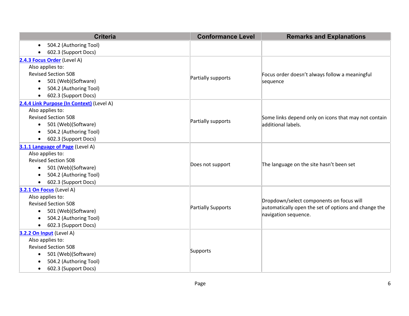| <b>Criteria</b>                           | <b>Conformance Level</b>  | <b>Remarks and Explanations</b>                      |
|-------------------------------------------|---------------------------|------------------------------------------------------|
| 504.2 (Authoring Tool)<br>$\bullet$       |                           |                                                      |
| 602.3 (Support Docs)<br>$\bullet$         |                           |                                                      |
| 2.4.3 Focus Order (Level A)               |                           |                                                      |
| Also applies to:                          |                           |                                                      |
| <b>Revised Section 508</b>                | Partially supports        | Focus order doesn't always follow a meaningful       |
| 501 (Web)(Software)<br>$\bullet$          |                           | sequence                                             |
| 504.2 (Authoring Tool)<br>$\bullet$       |                           |                                                      |
| 602.3 (Support Docs)                      |                           |                                                      |
| 2.4.4 Link Purpose (In Context) (Level A) |                           |                                                      |
| Also applies to:                          |                           |                                                      |
| <b>Revised Section 508</b>                | Partially supports        | Some links depend only on icons that may not contain |
| 501 (Web)(Software)<br>$\bullet$          |                           | additional labels.                                   |
| 504.2 (Authoring Tool)                    |                           |                                                      |
| 602.3 (Support Docs)<br>$\bullet$         |                           |                                                      |
| 3.1.1 Language of Page (Level A)          |                           |                                                      |
| Also applies to:                          |                           | The language on the site hasn't been set             |
| <b>Revised Section 508</b>                | Does not support          |                                                      |
| 501 (Web)(Software)<br>$\bullet$          |                           |                                                      |
| 504.2 (Authoring Tool)                    |                           |                                                      |
| 602.3 (Support Docs)<br>$\bullet$         |                           |                                                      |
| 3.2.1 On Focus (Level A)                  |                           |                                                      |
| Also applies to:                          |                           | Dropdown/select components on focus will             |
| <b>Revised Section 508</b>                | <b>Partially Supports</b> | automatically open the set of options and change the |
| 501 (Web)(Software)<br>$\bullet$          |                           | navigation sequence.                                 |
| 504.2 (Authoring Tool)<br>$\bullet$       |                           |                                                      |
| 602.3 (Support Docs)<br>$\bullet$         |                           |                                                      |
| 3.2.2 On Input (Level A)                  |                           |                                                      |
| Also applies to:                          |                           |                                                      |
| <b>Revised Section 508</b>                | Supports                  |                                                      |
| 501 (Web)(Software)<br>$\bullet$          |                           |                                                      |
| 504.2 (Authoring Tool)                    |                           |                                                      |
| 602.3 (Support Docs)<br>$\bullet$         |                           |                                                      |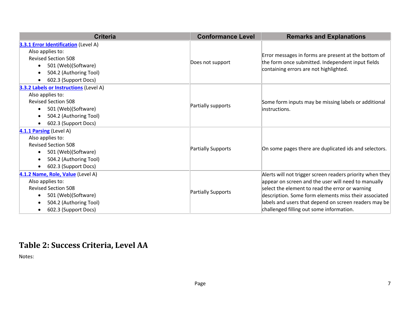| <b>Criteria</b>                                                                                                                                                                           | <b>Conformance Level</b> | <b>Remarks and Explanations</b>                                                                                                                                                                                                                                                                                                   |
|-------------------------------------------------------------------------------------------------------------------------------------------------------------------------------------------|--------------------------|-----------------------------------------------------------------------------------------------------------------------------------------------------------------------------------------------------------------------------------------------------------------------------------------------------------------------------------|
| <b>3.3.1 Error Identification</b> (Level A)<br>Also applies to:<br><b>Revised Section 508</b><br>501 (Web)(Software)<br>504.2 (Authoring Tool)<br>602.3 (Support Docs)                    | Does not support         | Error messages in forms are present at the bottom of<br>the form once submitted. Independent input fields<br>containing errors are not highlighted.                                                                                                                                                                               |
| <b>3.3.2 Labels or Instructions (Level A)</b><br>Also applies to:<br><b>Revised Section 508</b><br>501 (Web)(Software)<br>$\bullet$<br>504.2 (Authoring Tool)<br>602.3 (Support Docs)     | Partially supports       | Some form inputs may be missing labels or additional<br>instructions.                                                                                                                                                                                                                                                             |
| 4.1.1 Parsing (Level A)<br>Also applies to:<br><b>Revised Section 508</b><br>501 (Web)(Software)<br>$\bullet$<br>504.2 (Authoring Tool)<br>$\bullet$<br>602.3 (Support Docs)<br>$\bullet$ | Partially Supports       | On some pages there are duplicated ids and selectors.                                                                                                                                                                                                                                                                             |
| 4.1.2 Name, Role, Value (Level A)<br>Also applies to:<br><b>Revised Section 508</b><br>501 (Web)(Software)<br>504.2 (Authoring Tool)<br>602.3 (Support Docs)<br>$\bullet$                 | Partially Supports       | Alerts will not trigger screen readers priority when they<br>appear on screen and the user will need to manually<br>select the element to read the error or warning<br>description. Some form elements miss their associated<br>labels and users that depend on screen readers may be<br>challenged filling out some information. |

### **Table 2: Success Criteria, Level AA**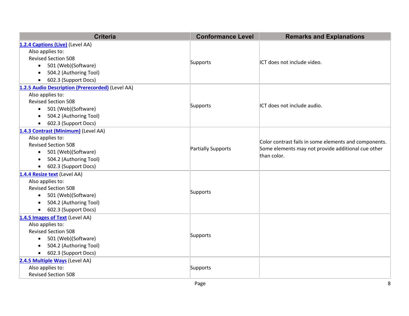| <b>Criteria</b>                                  | <b>Conformance Level</b> | <b>Remarks and Explanations</b>                                                                                            |
|--------------------------------------------------|--------------------------|----------------------------------------------------------------------------------------------------------------------------|
| 1.2.4 Captions (Live) (Level AA)                 |                          |                                                                                                                            |
| Also applies to:                                 |                          | ICT does not include video.                                                                                                |
| <b>Revised Section 508</b>                       |                          |                                                                                                                            |
| 501 (Web)(Software)<br>$\bullet$                 | Supports                 |                                                                                                                            |
| 504.2 (Authoring Tool)<br>$\bullet$              |                          |                                                                                                                            |
| 602.3 (Support Docs)<br>$\bullet$                |                          |                                                                                                                            |
| 1.2.5 Audio Description (Prerecorded) (Level AA) |                          |                                                                                                                            |
| Also applies to:                                 |                          |                                                                                                                            |
| <b>Revised Section 508</b>                       | Supports                 | ICT does not include audio.                                                                                                |
| 501 (Web)(Software)<br>$\bullet$                 |                          |                                                                                                                            |
| 504.2 (Authoring Tool)<br>$\bullet$              |                          |                                                                                                                            |
| 602.3 (Support Docs)<br>$\bullet$                |                          |                                                                                                                            |
| 1.4.3 Contrast (Minimum) (Level AA)              |                          |                                                                                                                            |
| Also applies to:                                 |                          | Color contrast fails in some elements and components.<br>Some elements may not provide additional cue other<br>than color. |
| <b>Revised Section 508</b>                       | Partially Supports       |                                                                                                                            |
| 501 (Web)(Software)<br>$\bullet$                 |                          |                                                                                                                            |
| 504.2 (Authoring Tool)<br>$\bullet$              |                          |                                                                                                                            |
| 602.3 (Support Docs)<br>$\bullet$                |                          |                                                                                                                            |
| 1.4.4 Resize text (Level AA)                     |                          |                                                                                                                            |
| Also applies to:                                 |                          |                                                                                                                            |
| <b>Revised Section 508</b>                       | Supports                 |                                                                                                                            |
| 501 (Web)(Software)<br>$\bullet$                 |                          |                                                                                                                            |
| 504.2 (Authoring Tool)<br>$\bullet$              |                          |                                                                                                                            |
| 602.3 (Support Docs)                             |                          |                                                                                                                            |
| 1.4.5 Images of Text (Level AA)                  |                          |                                                                                                                            |
| Also applies to:                                 |                          |                                                                                                                            |
| <b>Revised Section 508</b>                       | Supports                 |                                                                                                                            |
| 501 (Web)(Software)<br>$\bullet$                 |                          |                                                                                                                            |
| 504.2 (Authoring Tool)<br>$\bullet$              |                          |                                                                                                                            |
| 602.3 (Support Docs)<br>$\bullet$                |                          |                                                                                                                            |
| 2.4.5 Multiple Ways (Level AA)                   |                          |                                                                                                                            |
| Also applies to:                                 | Supports                 |                                                                                                                            |
| <b>Revised Section 508</b>                       |                          |                                                                                                                            |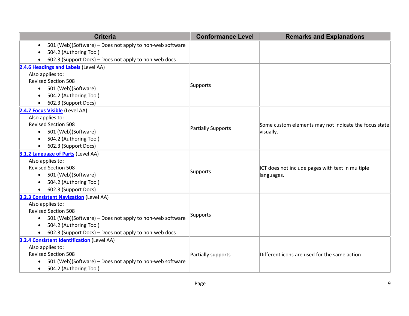| <b>Criteria</b>                                                       | <b>Conformance Level</b> | <b>Remarks and Explanations</b>                       |
|-----------------------------------------------------------------------|--------------------------|-------------------------------------------------------|
| 501 (Web)(Software) - Does not apply to non-web software<br>$\bullet$ |                          |                                                       |
| 504.2 (Authoring Tool)                                                |                          |                                                       |
| 602.3 (Support Docs) - Does not apply to non-web docs                 |                          |                                                       |
| 2.4.6 Headings and Labels (Level AA)                                  |                          |                                                       |
| Also applies to:                                                      |                          |                                                       |
| <b>Revised Section 508</b>                                            |                          |                                                       |
| • 501 (Web)(Software)                                                 | Supports                 |                                                       |
| 504.2 (Authoring Tool)                                                |                          |                                                       |
| 602.3 (Support Docs)                                                  |                          |                                                       |
| 2.4.7 Focus Visible (Level AA)                                        |                          |                                                       |
| Also applies to:                                                      |                          |                                                       |
| <b>Revised Section 508</b>                                            | Partially Supports       | Some custom elements may not indicate the focus state |
| 501 (Web)(Software)<br>$\bullet$                                      |                          | visually.                                             |
| 504.2 (Authoring Tool)                                                |                          |                                                       |
| 602.3 (Support Docs)<br>$\bullet$                                     |                          |                                                       |
| 3.1.2 Language of Parts (Level AA)                                    |                          |                                                       |
| Also applies to:                                                      |                          |                                                       |
| <b>Revised Section 508</b>                                            | Supports                 | ICT does not include pages with text in multiple      |
| 501 (Web)(Software)<br>$\bullet$                                      |                          | languages.                                            |
| 504.2 (Authoring Tool)                                                |                          |                                                       |
| 602.3 (Support Docs)<br>$\bullet$                                     |                          |                                                       |
| 3.2.3 Consistent Navigation (Level AA)                                |                          |                                                       |
| Also applies to:                                                      |                          |                                                       |
| <b>Revised Section 508</b>                                            | Supports                 |                                                       |
| 501 (Web)(Software) - Does not apply to non-web software<br>$\bullet$ |                          |                                                       |
| 504.2 (Authoring Tool)<br>$\bullet$                                   |                          |                                                       |
| 602.3 (Support Docs) - Does not apply to non-web docs<br>$\bullet$    |                          |                                                       |
| 3.2.4 Consistent Identification (Level AA)                            |                          |                                                       |
| Also applies to:                                                      |                          |                                                       |
| <b>Revised Section 508</b>                                            | Partially supports       | Different icons are used for the same action          |
| 501 (Web)(Software) - Does not apply to non-web software<br>$\bullet$ |                          |                                                       |
| 504.2 (Authoring Tool)<br>$\bullet$                                   |                          |                                                       |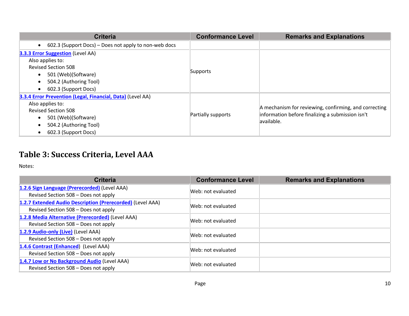| <b>Criteria</b>                                                                                                                                                                                    | <b>Conformance Level</b> | <b>Remarks and Explanations</b>                                                                                          |
|----------------------------------------------------------------------------------------------------------------------------------------------------------------------------------------------------|--------------------------|--------------------------------------------------------------------------------------------------------------------------|
| 602.3 (Support Docs) – Does not apply to non-web docs                                                                                                                                              |                          |                                                                                                                          |
| <b>3.3.3 Error Suggestion</b> (Level AA)<br>Also applies to:<br><b>Revised Section 508</b><br>501 (Web)(Software)<br>$\bullet$<br>504.2 (Authoring Tool)<br>602.3 (Support Docs)<br>$\bullet$      | Supports                 |                                                                                                                          |
| 3.3.4 Error Prevention (Legal, Financial, Data) (Level AA)<br>Also applies to:<br><b>Revised Section 508</b><br>501 (Web)(Software)<br>$\bullet$<br>504.2 (Authoring Tool)<br>602.3 (Support Docs) | Partially supports       | A mechanism for reviewing, confirming, and correcting<br>information before finalizing a submission isn't<br>lavailable. |

### **Table 3: Success Criteria, Level AAA**

| <b>Criteria</b>                                            | <b>Conformance Level</b> | <b>Remarks and Explanations</b> |
|------------------------------------------------------------|--------------------------|---------------------------------|
| 1.2.6 Sign Language (Prerecorded) (Level AAA)              | Web: not evaluated       |                                 |
| Revised Section 508 - Does not apply                       |                          |                                 |
| 1.2.7 Extended Audio Description (Prerecorded) (Level AAA) | Web: not evaluated       |                                 |
| Revised Section 508 - Does not apply                       |                          |                                 |
| 1.2.8 Media Alternative (Prerecorded) (Level AAA)          | Web: not evaluated       |                                 |
| Revised Section 508 - Does not apply                       |                          |                                 |
| 1.2.9 Audio-only (Live) (Level AAA)                        | Web: not evaluated       |                                 |
| Revised Section 508 - Does not apply                       |                          |                                 |
| 1.4.6 Contrast (Enhanced) (Level AAA)                      | Web: not evaluated       |                                 |
| Revised Section 508 - Does not apply                       |                          |                                 |
| 1.4.7 Low or No Background Audio (Level AAA)               | Web: not evaluated       |                                 |
| Revised Section 508 - Does not apply                       |                          |                                 |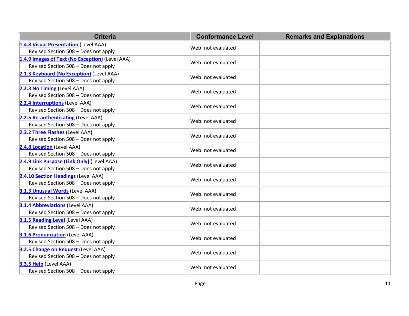| <b>Criteria</b>                                                                         | <b>Conformance Level</b> | <b>Remarks and Explanations</b> |
|-----------------------------------------------------------------------------------------|--------------------------|---------------------------------|
| 1.4.8 Visual Presentation (Level AAA)<br>Revised Section 508 - Does not apply           | Web: not evaluated       |                                 |
| 1.4.9 Images of Text (No Exception) (Level AAA)<br>Revised Section 508 - Does not apply | Web: not evaluated       |                                 |
| 2.1.3 Keyboard (No Exception) (Level AAA)<br>Revised Section 508 - Does not apply       | Web: not evaluated       |                                 |
| 2.2.3 No Timing (Level AAA)<br>Revised Section 508 - Does not apply                     | Web: not evaluated       |                                 |
| 2.2.4 Interruptions (Level AAA)<br>Revised Section 508 - Does not apply                 | Web: not evaluated       |                                 |
| 2.2.5 Re-authenticating (Level AAA)<br>Revised Section 508 - Does not apply             | Web: not evaluated       |                                 |
| 2.3.2 Three Flashes (Level AAA)<br>Revised Section 508 - Does not apply                 | Web: not evaluated       |                                 |
| 2.4.8 Location (Level AAA)<br>Revised Section 508 - Does not apply                      | Web: not evaluated       |                                 |
| 2.4.9 Link Purpose (Link Only) (Level AAA)<br>Revised Section 508 - Does not apply      | Web: not evaluated       |                                 |
| 2.4.10 Section Headings (Level AAA)<br>Revised Section 508 - Does not apply             | Web: not evaluated       |                                 |
| 3.1.3 Unusual Words (Level AAA)<br>Revised Section 508 - Does not apply                 | Web: not evaluated       |                                 |
| <b>3.1.4 Abbreviations (Level AAA)</b><br>Revised Section 508 - Does not apply          | Web: not evaluated       |                                 |
| 3.1.5 Reading Level (Level AAA)<br>Revised Section 508 - Does not apply                 | Web: not evaluated       |                                 |
| <b>3.1.6 Pronunciation</b> (Level AAA)<br>Revised Section 508 - Does not apply          | Web: not evaluated       |                                 |
| 3.2.5 Change on Request (Level AAA)<br>Revised Section 508 - Does not apply             | Web: not evaluated       |                                 |
| 3.3.5 Help (Level AAA)<br>Revised Section 508 - Does not apply                          | Web: not evaluated       |                                 |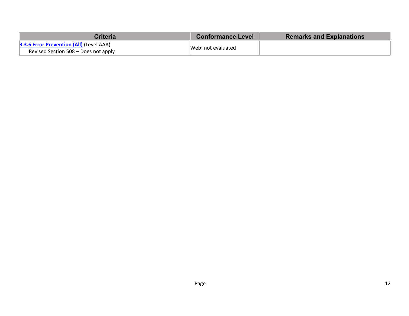| <b>Criteria</b>                                                                         | <b>Conformance Level</b> | <b>Remarks and Explanations</b> |
|-----------------------------------------------------------------------------------------|--------------------------|---------------------------------|
| <b>3.3.6 Error Prevention (All) (Level AAA)</b><br>Revised Section 508 – Does not apply | Web: not evaluated       |                                 |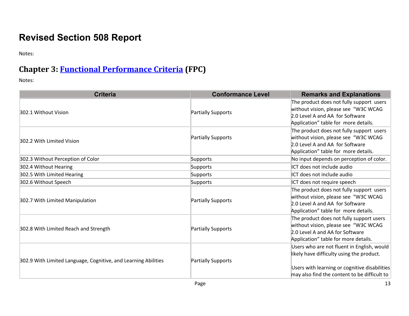## **Revised Section 508 Report**

Notes:

#### **Chapter 3: Functional Performance Criteria (FPC)**

| <b>Criteria</b>                                                | <b>Conformance Level</b> | <b>Remarks and Explanations</b>                                                                                                                                                          |
|----------------------------------------------------------------|--------------------------|------------------------------------------------------------------------------------------------------------------------------------------------------------------------------------------|
| 302.1 Without Vision                                           | Partially Supports       | The product does not fully support users<br>without vision, please see "W3C WCAG<br>2.0 Level A and AA for Software<br>Application" table for more details.                              |
| 302.2 With Limited Vision                                      | Partially Supports       | The product does not fully support users<br>without vision, please see "W3C WCAG<br>2.0 Level A and AA for Software<br>Application" table for more details.                              |
| 302.3 Without Perception of Color                              | Supports                 | No input depends on perception of color.                                                                                                                                                 |
| 302.4 Without Hearing                                          | Supports                 | ICT does not include audio                                                                                                                                                               |
| 302.5 With Limited Hearing                                     | Supports                 | ICT does not include audio                                                                                                                                                               |
| 302.6 Without Speech                                           | Supports                 | ICT does not require speech                                                                                                                                                              |
| 302.7 With Limited Manipulation                                | Partially Supports       | The product does not fully support users<br>without vision, please see "W3C WCAG<br>2.0 Level A and AA for Software<br>Application" table for more details.                              |
| 302.8 With Limited Reach and Strength                          | Partially Supports       | The product does not fully support users<br>without vision, please see "W3C WCAG<br>2.0 Level A and AA for Software<br>Application" table for more details.                              |
| 302.9 With Limited Language, Cognitive, and Learning Abilities | Partially Supports       | Users who are not fluent in English, would<br>likely have difficulty using the product.<br>Users with learning or cognitive disabilities<br>may also find the content to be difficult to |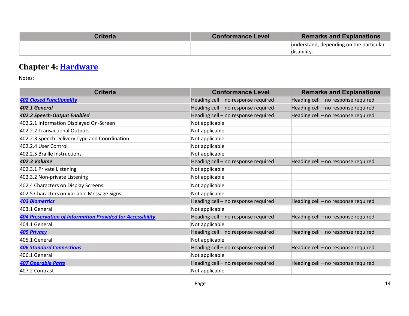| <b>Criteria</b> | <b>Conformance Level</b> | <b>Remarks and Explanations</b>         |
|-----------------|--------------------------|-----------------------------------------|
|                 |                          | understand, depending on the particular |
|                 |                          | disability                              |

### **Chapter 4: Hardware**

| <b>Criteria</b>                                                   | <b>Conformance Level</b>            | <b>Remarks and Explanations</b>     |
|-------------------------------------------------------------------|-------------------------------------|-------------------------------------|
| <b>402 Closed Functionality</b>                                   | Heading cell - no response required | Heading cell - no response required |
| 402.1 General                                                     | Heading cell - no response required | Heading cell - no response required |
| 402.2 Speech-Output Enabled                                       | Heading cell - no response required | Heading cell - no response required |
| 402.2.1 Information Displayed On-Screen                           | Not applicable                      |                                     |
| 402.2.2 Transactional Outputs                                     | Not applicable                      |                                     |
| 402.2.3 Speech Delivery Type and Coordination                     | Not applicable                      |                                     |
| 402.2.4 User Control                                              | Not applicable                      |                                     |
| 402.2.5 Braille Instructions                                      | Not applicable                      |                                     |
| 402.3 Volume                                                      | Heading cell - no response required | Heading cell - no response required |
| 402.3.1 Private Listening                                         | Not applicable                      |                                     |
| 402.3.2 Non-private Listening                                     | Not applicable                      |                                     |
| 402.4 Characters on Display Screens                               | Not applicable                      |                                     |
| 402.5 Characters on Variable Message Signs                        | Not applicable                      |                                     |
| <b>403 Biometrics</b>                                             | Heading cell - no response required | Heading cell - no response required |
| 403.1 General                                                     | Not applicable                      |                                     |
| <b>404 Preservation of Information Provided for Accessibility</b> | Heading cell - no response required | Heading cell - no response required |
| 404.1 General                                                     | Not applicable                      |                                     |
| <b>405 Privacy</b>                                                | Heading cell - no response required | Heading cell - no response required |
| 405.1 General                                                     | Not applicable                      |                                     |
| <b>406 Standard Connections</b>                                   | Heading cell - no response required | Heading cell - no response required |
| 406.1 General                                                     | Not applicable                      |                                     |
| <b>407 Operable Parts</b>                                         | Heading cell - no response required | Heading cell - no response required |
| 407.2 Contrast                                                    | Not applicable                      |                                     |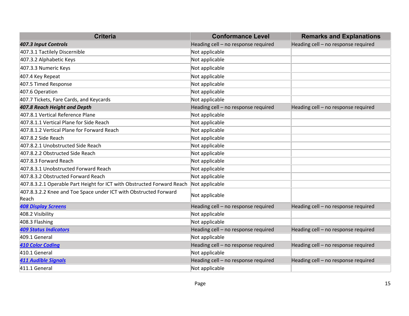| <b>Criteria</b>                                                           | <b>Conformance Level</b>            | <b>Remarks and Explanations</b>     |
|---------------------------------------------------------------------------|-------------------------------------|-------------------------------------|
| 407.3 Input Controls                                                      | Heading cell - no response required | Heading cell - no response required |
| 407.3.1 Tactilely Discernible                                             | Not applicable                      |                                     |
| 407.3.2 Alphabetic Keys                                                   | Not applicable                      |                                     |
| 407.3.3 Numeric Keys                                                      | Not applicable                      |                                     |
| 407.4 Key Repeat                                                          | Not applicable                      |                                     |
| 407.5 Timed Response                                                      | Not applicable                      |                                     |
| 407.6 Operation                                                           | Not applicable                      |                                     |
| 407.7 Tickets, Fare Cards, and Keycards                                   | Not applicable                      |                                     |
| 407.8 Reach Height and Depth                                              | Heading cell - no response required | Heading cell - no response required |
| 407.8.1 Vertical Reference Plane                                          | Not applicable                      |                                     |
| 407.8.1.1 Vertical Plane for Side Reach                                   | Not applicable                      |                                     |
| 407.8.1.2 Vertical Plane for Forward Reach                                | Not applicable                      |                                     |
| 407.8.2 Side Reach                                                        | Not applicable                      |                                     |
| 407.8.2.1 Unobstructed Side Reach                                         | Not applicable                      |                                     |
| 407.8.2.2 Obstructed Side Reach                                           | Not applicable                      |                                     |
| 407.8.3 Forward Reach                                                     | Not applicable                      |                                     |
| 407.8.3.1 Unobstructed Forward Reach                                      | Not applicable                      |                                     |
| 407.8.3.2 Obstructed Forward Reach                                        | Not applicable                      |                                     |
| 407.8.3.2.1 Operable Part Height for ICT with Obstructed Forward Reach    | Not applicable                      |                                     |
| 407.8.3.2.2 Knee and Toe Space under ICT with Obstructed Forward<br>Reach | Not applicable                      |                                     |
| <b>408 Display Screens</b>                                                | Heading cell - no response required | Heading cell - no response required |
| 408.2 Visibility                                                          | Not applicable                      |                                     |
| 408.3 Flashing                                                            | Not applicable                      |                                     |
| <b>409 Status Indicators</b>                                              | Heading cell - no response required | Heading cell - no response required |
| 409.1 General                                                             | Not applicable                      |                                     |
| <b>410 Color Coding</b>                                                   | Heading cell - no response required | Heading cell - no response required |
| 410.1 General                                                             | Not applicable                      |                                     |
| <b>411 Audible Signals</b>                                                | Heading cell - no response required | Heading cell - no response required |
| 411.1 General                                                             | Not applicable                      |                                     |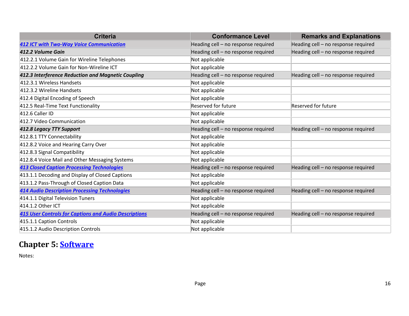| <b>Criteria</b>                                              | <b>Conformance Level</b>            | <b>Remarks and Explanations</b>     |
|--------------------------------------------------------------|-------------------------------------|-------------------------------------|
| <b>412 ICT with Two-Way Voice Communication</b>              | Heading cell - no response required | Heading cell - no response required |
| 412.2 Volume Gain                                            | Heading cell - no response required | Heading cell - no response required |
| 412.2.1 Volume Gain for Wireline Telephones                  | Not applicable                      |                                     |
| 412.2.2 Volume Gain for Non-Wireline ICT                     | Not applicable                      |                                     |
| 412.3 Interference Reduction and Magnetic Coupling           | Heading cell - no response required | Heading cell - no response required |
| 412.3.1 Wireless Handsets                                    | Not applicable                      |                                     |
| 412.3.2 Wireline Handsets                                    | Not applicable                      |                                     |
| 412.4 Digital Encoding of Speech                             | Not applicable                      |                                     |
| 412.5 Real-Time Text Functionality                           | <b>Reserved for future</b>          | <b>Reserved for future</b>          |
| 412.6 Caller ID                                              | Not applicable                      |                                     |
| 412.7 Video Communication                                    | Not applicable                      |                                     |
| 412.8 Legacy TTY Support                                     | Heading cell - no response required | Heading cell - no response required |
| 412.8.1 TTY Connectability                                   | Not applicable                      |                                     |
| 412.8.2 Voice and Hearing Carry Over                         | Not applicable                      |                                     |
| 412.8.3 Signal Compatibility                                 | Not applicable                      |                                     |
| 412.8.4 Voice Mail and Other Messaging Systems               | Not applicable                      |                                     |
| <b>413 Closed Caption Processing Technologies</b>            | Heading cell - no response required | Heading cell - no response required |
| 413.1.1 Decoding and Display of Closed Captions              | Not applicable                      |                                     |
| 413.1.2 Pass-Through of Closed Caption Data                  | Not applicable                      |                                     |
| <b>414 Audio Description Processing Technologies</b>         | Heading cell - no response required | Heading cell - no response required |
| 414.1.1 Digital Television Tuners                            | Not applicable                      |                                     |
| 414.1.2 Other ICT                                            | Not applicable                      |                                     |
| <b>415 User Controls for Captions and Audio Descriptions</b> | Heading cell - no response required | Heading cell - no response required |
| 415.1.1 Caption Controls                                     | Not applicable                      |                                     |
| 415.1.2 Audio Description Controls                           | Not applicable                      |                                     |

### Chapter 5: **Software**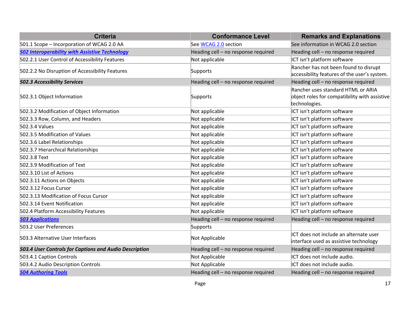| <b>Criteria</b>                                        | <b>Conformance Level</b>            | <b>Remarks and Explanations</b>                                                                      |
|--------------------------------------------------------|-------------------------------------|------------------------------------------------------------------------------------------------------|
| 501.1 Scope - Incorporation of WCAG 2.0 AA             | See WCAG 2.0 section                | See information in WCAG 2.0 section                                                                  |
| <b>502 Interoperability with Assistive Technology</b>  | Heading cell - no response required | Heading cell - no response required                                                                  |
| 502.2.1 User Control of Accessibility Features         | Not applicable                      | ICT isn't platform software                                                                          |
| 502.2.2 No Disruption of Accessibility Features        | Supports                            | Rancher has not been found to disrupt<br>accessibility features of the user's system.                |
| <b>502.3 Accessibility Services</b>                    | Heading cell - no response required | Heading cell - no response required                                                                  |
| 502.3.1 Object Information                             | Supports                            | Rancher uses standard HTML or ARIA<br>object roles for compatibility with assistive<br>technologies. |
| 502.3.2 Modification of Object Information             | Not applicable                      | ICT isn't platform software                                                                          |
| 502.3.3 Row, Column, and Headers                       | Not applicable                      | ICT isn't platform software                                                                          |
| 502.3.4 Values                                         | Not applicable                      | ICT isn't platform software                                                                          |
| 502.3.5 Modification of Values                         | Not applicable                      | ICT isn't platform software                                                                          |
| 502.3.6 Label Relationships                            | Not applicable                      | ICT isn't platform software                                                                          |
| 502.3.7 Hierarchical Relationships                     | Not applicable                      | ICT isn't platform software                                                                          |
| 502.3.8 Text                                           | Not applicable                      | ICT isn't platform software                                                                          |
| 502.3.9 Modification of Text                           | Not applicable                      | ICT isn't platform software                                                                          |
| 502.3.10 List of Actions                               | Not applicable                      | ICT isn't platform software                                                                          |
| 502.3.11 Actions on Objects                            | Not applicable                      | ICT isn't platform software                                                                          |
| 502.3.12 Focus Cursor                                  | Not applicable                      | ICT isn't platform software                                                                          |
| 502.3.13 Modification of Focus Cursor                  | Not applicable                      | ICT isn't platform software                                                                          |
| 502.3.14 Event Notification                            | Not applicable                      | ICT isn't platform software                                                                          |
| 502.4 Platform Accessibility Features                  | Not applicable                      | ICT isn't platform software                                                                          |
| <b>503 Applications</b>                                | Heading cell - no response required | Heading cell - no response required                                                                  |
| 503.2 User Preferences                                 | Supports                            |                                                                                                      |
| 503.3 Alternative User Interfaces                      | Not Applicable                      | ICT does not include an alternate user<br>interface used as assistive technology                     |
| 503.4 User Controls for Captions and Audio Description | Heading cell - no response required | Heading cell - no response required                                                                  |
| 503.4.1 Caption Controls                               | Not Applicable                      | ICT does not include audio.                                                                          |
| 503.4.2 Audio Description Controls                     | Not Applicable                      | ICT does not include audio.                                                                          |
| <b>504 Authoring Tools</b>                             | Heading cell - no response required | Heading cell - no response required                                                                  |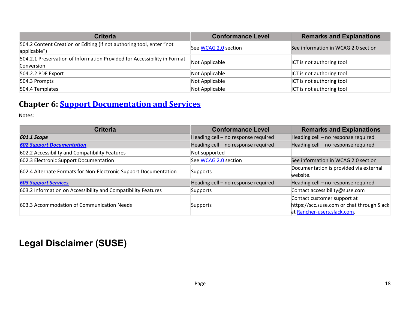| <b>Criteria</b>                                                                        | <b>Conformance Level</b> | <b>Remarks and Explanations</b>     |
|----------------------------------------------------------------------------------------|--------------------------|-------------------------------------|
| 504.2 Content Creation or Editing (if not authoring tool, enter "not<br>applicable")   | See WCAG 2.0 section     | See information in WCAG 2.0 section |
| 504.2.1 Preservation of Information Provided for Accessibility in Format<br>Conversion | Not Applicable           | <b>ICT</b> is not authoring tool    |
| 504.2.2 PDF Export                                                                     | Not Applicable           | <b>ICT</b> is not authoring tool    |
| 504.3 Prompts                                                                          | Not Applicable           | ICT is not authoring tool           |
| 504.4 Templates                                                                        | Not Applicable           | ICT is not authoring tool           |

### **Chapter 6: Support Documentation and Services**

Notes:

| <b>Criteria</b>                                                  | <b>Conformance Level</b>            | <b>Remarks and Explanations</b>            |
|------------------------------------------------------------------|-------------------------------------|--------------------------------------------|
| 601.1 Scope                                                      | Heading cell - no response required | Heading cell - no response required        |
| <b>602 Support Documentation</b>                                 | Heading cell - no response required | Heading cell - no response required        |
| 602.2 Accessibility and Compatibility Features                   | Not supported                       |                                            |
| 602.3 Electronic Support Documentation                           | See WCAG 2.0 section                | See information in WCAG 2.0 section        |
| 602.4 Alternate Formats for Non-Electronic Support Documentation | Supports                            | Documentation is provided via external     |
|                                                                  |                                     | website.                                   |
| <b>603 Support Services</b>                                      | Heading cell - no response required | Heading cell - no response required        |
| 603.2 Information on Accessibility and Compatibility Features    | Supports                            | Contact accessibility@suse.com             |
|                                                                  |                                     | Contact customer support at                |
| 603.3 Accommodation of Communication Needs                       | Supports                            | https://scc.suse.com or chat through Slack |
|                                                                  |                                     | at Rancher-users.slack.com.                |

# **Legal Disclaimer (SUSE)**